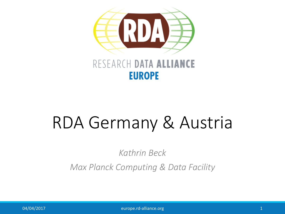

#### RESEARCH DATA ALLIANCE **EUROPE**

# RDA Germany & Austria

*Kathrin Beck*

*Max Planck Computing & Data Facility*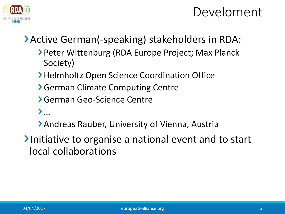

## Develoment

### Active German(-speaking) stakeholders in RDA:

- **> Peter Wittenburg (RDA Europe Project; Max Planck** Society)
- **> Helmholtz Open Science Coordination Office**
- **Serman Climate Computing Centre**
- German Geo-Science Centre
- …
- Andreas Rauber, University of Vienna, Austria
- Initiative to organise a national event and to start local collaborations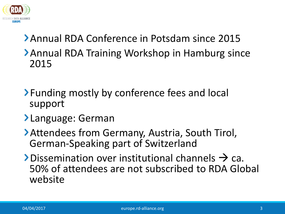

## Annual RDA Conference in Potsdam since 2015 **> Annual RDA Training Workshop in Hamburg since** 2015

- > Funding mostly by conference fees and local support
- Language: German
- Attendees from Germany, Austria, South Tirol, German-Speaking part of Switzerland
- $\blacktriangleright$  Dissemination over institutional channels  $\rightarrow$  ca. 50% of attendees are not subscribed to RDA Global website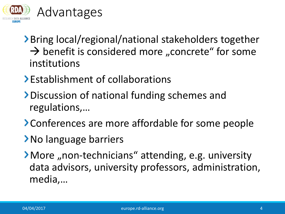

- ▶ Bring local/regional/national stakeholders together  $\rightarrow$  benefit is considered more "concrete" for some institutions
- Establishment of collaborations
- Discussion of national funding schemes and regulations,…
- Conferences are more affordable for some people
- No language barriers
- > More "non-technicians" attending, e.g. university data advisors, university professors, administration, media,…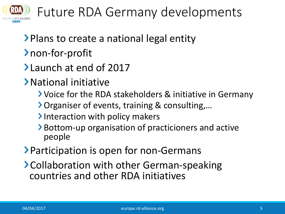

Future RDA Germany developments

- **Plans to create a national legal entity**
- non-for-profit
- Launch at end of 2017
- National initiative
	- Voice for the RDA stakeholders & initiative in Germany
	- Organiser of events, training & consulting,…
	- Interaction with policy makers
	- Bottom-up organisation of practicioners and active people
- **> Participation is open for non-Germans**
- > Collaboration with other German-speaking countries and other RDA initiatives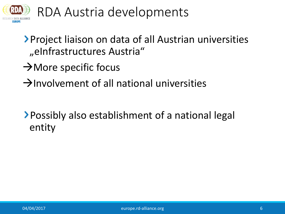

RDA Austria developments

Project liaison on data of all Austrian universities "eInfrastructures Austria"

- $\rightarrow$  More specific focus
- $\rightarrow$ Involvement of all national universities

Possibly also establishment of a national legal entity